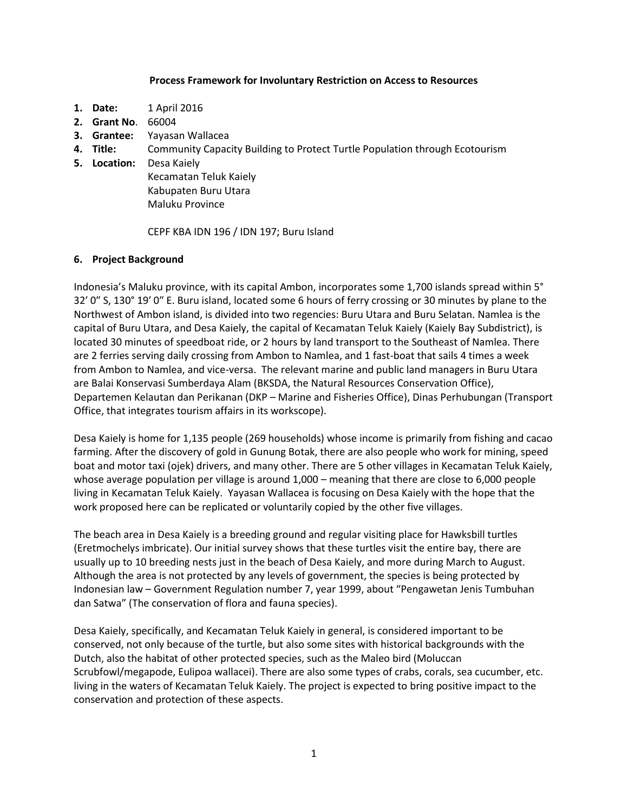#### **Process Framework for Involuntary Restriction on Access to Resources**

- **1. Date:** 1 April 2016
- **2. Grant No**. 66004
- **3. Grantee:** Yayasan Wallacea
- **4. Title:** Community Capacity Building to Protect Turtle Population through Ecotourism
- **5. Location:** Desa Kaiely

Kecamatan Teluk Kaiely Kabupaten Buru Utara Maluku Province

CEPF KBA IDN 196 / IDN 197; Buru Island

### **6. Project Background**

Indonesia's Maluku province, with its capital Ambon, incorporates some 1,700 islands spread within 5° 32′ 0″ S, 130° 19′ 0″ E. Buru island, located some 6 hours of ferry crossing or 30 minutes by plane to the Northwest of Ambon island, is divided into two regencies: Buru Utara and Buru Selatan. Namlea is the capital of Buru Utara, and Desa Kaiely, the capital of Kecamatan Teluk Kaiely (Kaiely Bay Subdistrict), is located 30 minutes of speedboat ride, or 2 hours by land transport to the Southeast of Namlea. There are 2 ferries serving daily crossing from Ambon to Namlea, and 1 fast-boat that sails 4 times a week from Ambon to Namlea, and vice-versa. The relevant marine and public land managers in Buru Utara are Balai Konservasi Sumberdaya Alam (BKSDA, the Natural Resources Conservation Office), Departemen Kelautan dan Perikanan (DKP – Marine and Fisheries Office), Dinas Perhubungan (Transport Office, that integrates tourism affairs in its workscope).

Desa Kaiely is home for 1,135 people (269 households) whose income is primarily from fishing and cacao farming. After the discovery of gold in Gunung Botak, there are also people who work for mining, speed boat and motor taxi (ojek) drivers, and many other. There are 5 other villages in Kecamatan Teluk Kaiely, whose average population per village is around 1,000 – meaning that there are close to 6,000 people living in Kecamatan Teluk Kaiely. Yayasan Wallacea is focusing on Desa Kaiely with the hope that the work proposed here can be replicated or voluntarily copied by the other five villages.

The beach area in Desa Kaiely is a breeding ground and regular visiting place for Hawksbill turtles (Eretmochelys imbricate). Our initial survey shows that these turtles visit the entire bay, there are usually up to 10 breeding nests just in the beach of Desa Kaiely, and more during March to August. Although the area is not protected by any levels of government, the species is being protected by Indonesian law – Government Regulation number 7, year 1999, about "Pengawetan Jenis Tumbuhan dan Satwa" (The conservation of flora and fauna species).

Desa Kaiely, specifically, and Kecamatan Teluk Kaiely in general, is considered important to be conserved, not only because of the turtle, but also some sites with historical backgrounds with the Dutch, also the habitat of other protected species, such as the Maleo bird (Moluccan Scrubfowl/megapode, Eulipoa wallacei). There are also some types of crabs, corals, sea cucumber, etc. living in the waters of Kecamatan Teluk Kaiely. The project is expected to bring positive impact to the conservation and protection of these aspects.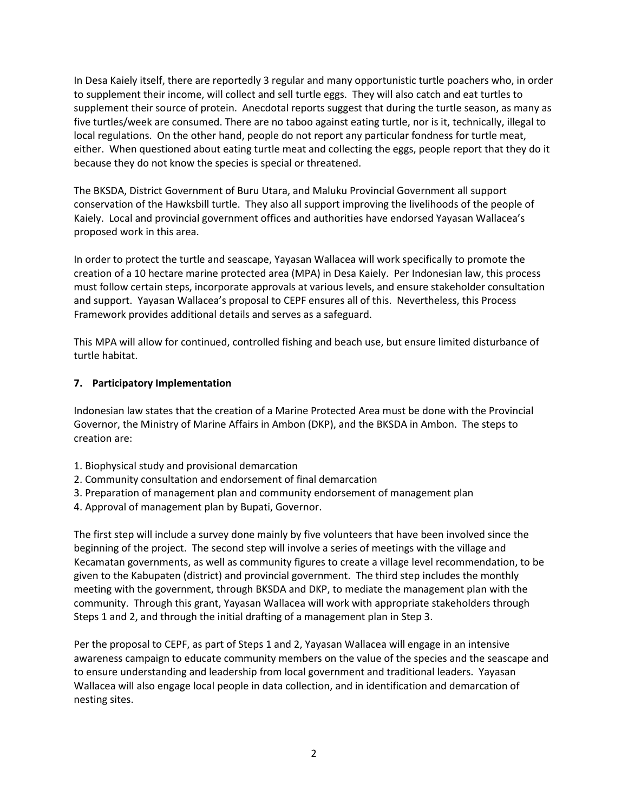In Desa Kaiely itself, there are reportedly 3 regular and many opportunistic turtle poachers who, in order to supplement their income, will collect and sell turtle eggs. They will also catch and eat turtles to supplement their source of protein. Anecdotal reports suggest that during the turtle season, as many as five turtles/week are consumed. There are no taboo against eating turtle, nor is it, technically, illegal to local regulations. On the other hand, people do not report any particular fondness for turtle meat, either. When questioned about eating turtle meat and collecting the eggs, people report that they do it because they do not know the species is special or threatened.

The BKSDA, District Government of Buru Utara, and Maluku Provincial Government all support conservation of the Hawksbill turtle. They also all support improving the livelihoods of the people of Kaiely. Local and provincial government offices and authorities have endorsed Yayasan Wallacea's proposed work in this area.

In order to protect the turtle and seascape, Yayasan Wallacea will work specifically to promote the creation of a 10 hectare marine protected area (MPA) in Desa Kaiely. Per Indonesian law, this process must follow certain steps, incorporate approvals at various levels, and ensure stakeholder consultation and support. Yayasan Wallacea's proposal to CEPF ensures all of this. Nevertheless, this Process Framework provides additional details and serves as a safeguard.

This MPA will allow for continued, controlled fishing and beach use, but ensure limited disturbance of turtle habitat.

## **7. Participatory Implementation**

Indonesian law states that the creation of a Marine Protected Area must be done with the Provincial Governor, the Ministry of Marine Affairs in Ambon (DKP), and the BKSDA in Ambon. The steps to creation are:

- 1. Biophysical study and provisional demarcation
- 2. Community consultation and endorsement of final demarcation
- 3. Preparation of management plan and community endorsement of management plan
- 4. Approval of management plan by Bupati, Governor.

The first step will include a survey done mainly by five volunteers that have been involved since the beginning of the project. The second step will involve a series of meetings with the village and Kecamatan governments, as well as community figures to create a village level recommendation, to be given to the Kabupaten (district) and provincial government. The third step includes the monthly meeting with the government, through BKSDA and DKP, to mediate the management plan with the community. Through this grant, Yayasan Wallacea will work with appropriate stakeholders through Steps 1 and 2, and through the initial drafting of a management plan in Step 3.

Per the proposal to CEPF, as part of Steps 1 and 2, Yayasan Wallacea will engage in an intensive awareness campaign to educate community members on the value of the species and the seascape and to ensure understanding and leadership from local government and traditional leaders. Yayasan Wallacea will also engage local people in data collection, and in identification and demarcation of nesting sites.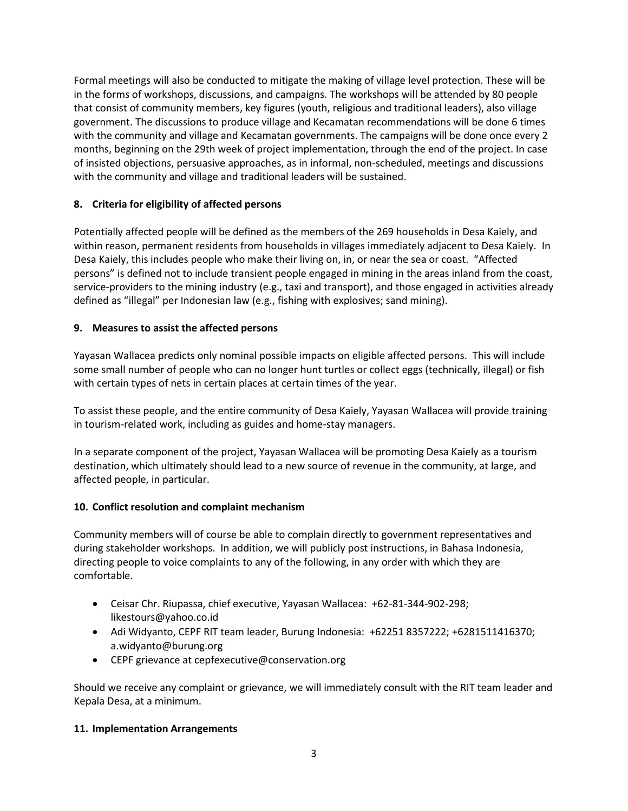Formal meetings will also be conducted to mitigate the making of village level protection. These will be in the forms of workshops, discussions, and campaigns. The workshops will be attended by 80 people that consist of community members, key figures (youth, religious and traditional leaders), also village government. The discussions to produce village and Kecamatan recommendations will be done 6 times with the community and village and Kecamatan governments. The campaigns will be done once every 2 months, beginning on the 29th week of project implementation, through the end of the project. In case of insisted objections, persuasive approaches, as in informal, non-scheduled, meetings and discussions with the community and village and traditional leaders will be sustained.

# **8. Criteria for eligibility of affected persons**

Potentially affected people will be defined as the members of the 269 households in Desa Kaiely, and within reason, permanent residents from households in villages immediately adjacent to Desa Kaiely. In Desa Kaiely, this includes people who make their living on, in, or near the sea or coast. "Affected persons" is defined not to include transient people engaged in mining in the areas inland from the coast, service-providers to the mining industry (e.g., taxi and transport), and those engaged in activities already defined as "illegal" per Indonesian law (e.g., fishing with explosives; sand mining).

## **9. Measures to assist the affected persons**

Yayasan Wallacea predicts only nominal possible impacts on eligible affected persons. This will include some small number of people who can no longer hunt turtles or collect eggs (technically, illegal) or fish with certain types of nets in certain places at certain times of the year.

To assist these people, and the entire community of Desa Kaiely, Yayasan Wallacea will provide training in tourism-related work, including as guides and home-stay managers.

In a separate component of the project, Yayasan Wallacea will be promoting Desa Kaiely as a tourism destination, which ultimately should lead to a new source of revenue in the community, at large, and affected people, in particular.

### **10. Conflict resolution and complaint mechanism**

Community members will of course be able to complain directly to government representatives and during stakeholder workshops. In addition, we will publicly post instructions, in Bahasa Indonesia, directing people to voice complaints to any of the following, in any order with which they are comfortable.

- Ceisar Chr. Riupassa, chief executive, Yayasan Wallacea: +62-81-344-902-298; likestours@yahoo.co.id
- Adi Widyanto, CEPF RIT team leader, Burung Indonesia: +62251 8357222; +6281511416370; a.widyanto@burung.org
- CEPF grievance at cepfexecutive@conservation.org

Should we receive any complaint or grievance, we will immediately consult with the RIT team leader and Kepala Desa, at a minimum.

### **11. Implementation Arrangements**